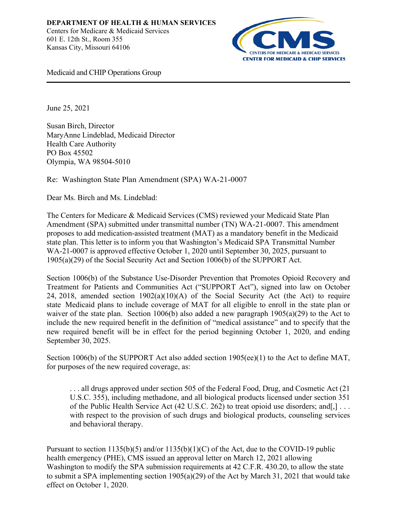

Medicaid and CHIP Operations Group

June 25, 2021

Susan Birch, Director MaryAnne Lindeblad, Medicaid Director Health Care Authority PO Box 45502 Olympia, WA 98504-5010

Re: Washington State Plan Amendment (SPA) WA-21-0007

Dear Ms. Birch and Ms. Lindeblad:

The Centers for Medicare & Medicaid Services (CMS) reviewed your Medicaid State Plan Amendment (SPA) submitted under transmittal number (TN) WA-21-0007. This amendment proposes to add medication-assisted treatment (MAT) as a mandatory benefit in the Medicaid state plan. This letter is to inform you that Washington's Medicaid SPA Transmittal Number WA-21-0007 is approved effective October 1, 2020 until September 30, 2025, pursuant to 1905(a)(29) of the Social Security Act and Section 1006(b) of the SUPPORT Act.

Section 1006(b) of the Substance Use-Disorder Prevention that Promotes Opioid Recovery and Treatment for Patients and Communities Act ("SUPPORT Act"), signed into law on October 24, 2018, amended section 1902(a)(10)(A) of the Social Security Act (the Act) to require state Medicaid plans to include coverage of MAT for all eligible to enroll in the state plan or waiver of the state plan. Section 1006(b) also added a new paragraph 1905(a)(29) to the Act to include the new required benefit in the definition of "medical assistance" and to specify that the new required benefit will be in effect for the period beginning October 1, 2020, and ending September 30, 2025.

Section 1006(b) of the SUPPORT Act also added section  $1905(ee)(1)$  to the Act to define MAT, for purposes of the new required coverage, as:

. . . all drugs approved under section 505 of the Federal Food, Drug, and Cosmetic Act (21 U.S.C. 355), including methadone, and all biological products licensed under section 351 of the Public Health Service Act (42 U.S.C. 262) to treat opioid use disorders; and[,] . . . with respect to the provision of such drugs and biological products, counseling services and behavioral therapy.

Pursuant to section 1135(b)(5) and/or 1135(b)(1)(C) of the Act, due to the COVID-19 public health emergency (PHE), CMS issued an approval letter on March 12, 2021 allowing Washington to modify the SPA submission requirements at 42 C.F.R. 430.20, to allow the state to submit a SPA implementing section 1905(a)(29) of the Act by March 31, 2021 that would take effect on October 1, 2020.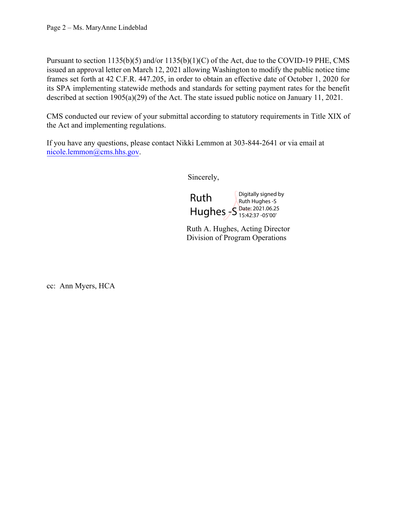Pursuant to section 1135(b)(5) and/or 1135(b)(1)(C) of the Act, due to the COVID-19 PHE, CMS issued an approval letter on March 12, 2021 allowing Washington to modify the public notice time frames set forth at 42 C.F.R. 447.205, in order to obtain an effective date of October 1, 2020 for its SPA implementing statewide methods and standards for setting payment rates for the benefit described at section 1905(a)(29) of the Act. The state issued public notice on January 11, 2021.

CMS conducted our review of your submittal according to statutory requirements in Title XIX of the Act and implementing regulations.

If you have any questions, please contact Nikki Lemmon at 303-844-2641 or via email at nicole.lemmon@cms.hhs.gov.

Sincerely,



Ruth A. Hughes, Acting Director Division of Program Operations

cc: Ann Myers, HCA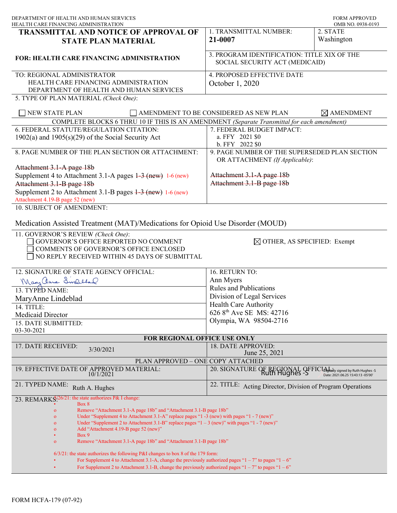| DEPARTMENT OF HEALTH AND HUMAN SERVICES<br>HEALTH CARE FINANCING ADMINISTRATION                                                                                                                      |                                                                                                                       | <b>FORM APPROVED</b><br>OMB NO. 0938-0193 |
|------------------------------------------------------------------------------------------------------------------------------------------------------------------------------------------------------|-----------------------------------------------------------------------------------------------------------------------|-------------------------------------------|
| TRANSMITTAL AND NOTICE OF APPROVAL OF                                                                                                                                                                | 1. TRANSMITTAL NUMBER:                                                                                                | 2. STATE                                  |
| <b>STATE PLAN MATERIAL</b>                                                                                                                                                                           | 21-0007                                                                                                               | Washington                                |
| <b>FOR: HEALTH CARE FINANCING ADMINISTRATION</b>                                                                                                                                                     | 3. PROGRAM IDENTIFICATION: TITLE XIX OF THE<br>SOCIAL SECURITY ACT (MEDICAID)                                         |                                           |
| TO: REGIONAL ADMINISTRATOR                                                                                                                                                                           | 4. PROPOSED EFFECTIVE DATE                                                                                            |                                           |
| HEALTH CARE FINANCING ADMINISTRATION                                                                                                                                                                 | October 1, 2020                                                                                                       |                                           |
| DEPARTMENT OF HEALTH AND HUMAN SERVICES                                                                                                                                                              |                                                                                                                       |                                           |
| 5. TYPE OF PLAN MATERIAL (Check One):                                                                                                                                                                |                                                                                                                       |                                           |
| <b>NEW STATE PLAN</b>                                                                                                                                                                                | AMENDMENT TO BE CONSIDERED AS NEW PLAN                                                                                | $\boxtimes$ AMENDMENT                     |
| COMPLETE BLOCKS 6 THRU 10 IF THIS IS AN AMENDMENT (Separate Transmittal for each amendment)                                                                                                          |                                                                                                                       |                                           |
| 6. FEDERAL STATUTE/REGULATION CITATION:                                                                                                                                                              | 7. FEDERAL BUDGET IMPACT:                                                                                             |                                           |
| $1902(a)$ and $1905(s)(29)$ of the Social Security Act                                                                                                                                               | a. FFY 2021 \$0                                                                                                       |                                           |
|                                                                                                                                                                                                      | b. FFY 2022 \$0                                                                                                       |                                           |
| 8. PAGE NUMBER OF THE PLAN SECTION OR ATTACHMENT:                                                                                                                                                    | 9. PAGE NUMBER OF THE SUPERSEDED PLAN SECTION<br>OR ATTACHMENT (If Applicable):                                       |                                           |
| Attachment 3.1-A page 18b                                                                                                                                                                            |                                                                                                                       |                                           |
| Supplement 4 to Attachment 3.1-A pages $1-3$ (new) 1-6 (new)                                                                                                                                         | Attachment 3.1-A page 18b<br>Attachment 3.1-B page 18b                                                                |                                           |
| Attachment 3.1-B page 18b<br>Supplement 2 to Attachment 3.1-B pages 1-3 (new) 1-6 (new)                                                                                                              |                                                                                                                       |                                           |
| Attachment 4.19-B page 52 (new)                                                                                                                                                                      |                                                                                                                       |                                           |
| 10. SUBJECT OF AMENDMENT:                                                                                                                                                                            |                                                                                                                       |                                           |
|                                                                                                                                                                                                      |                                                                                                                       |                                           |
| Medication Assisted Treatment (MAT)/Medications for Opioid Use Disorder (MOUD)                                                                                                                       |                                                                                                                       |                                           |
| 11. GOVERNOR'S REVIEW (Check One):<br>GOVERNOR'S OFFICE REPORTED NO COMMENT<br>COMMENTS OF GOVERNOR'S OFFICE ENCLOSED<br>NO REPLY RECEIVED WITHIN 45 DAYS OF SUBMITTAL                               | $\boxtimes$ OTHER, AS SPECIFIED: Exempt                                                                               |                                           |
| 12. SIGNATURE OF STATE AGENCY OFFICIAL:                                                                                                                                                              | 16. RETURN TO:                                                                                                        |                                           |
| Mary anne Swalland                                                                                                                                                                                   | Ann Myers                                                                                                             |                                           |
| 13. TYPED NAME:                                                                                                                                                                                      | <b>Rules and Publications</b>                                                                                         |                                           |
| MaryAnne Lindeblad                                                                                                                                                                                   | Division of Legal Services                                                                                            |                                           |
| 14. TITLE:                                                                                                                                                                                           | <b>Health Care Authority</b>                                                                                          |                                           |
| Medicaid Director                                                                                                                                                                                    | 626 8 <sup>th</sup> Ave SE MS: 42716                                                                                  |                                           |
| 15. DATE SUBMITTED:                                                                                                                                                                                  | Olympia, WA 98504-2716                                                                                                |                                           |
| 03-30-2021                                                                                                                                                                                           |                                                                                                                       |                                           |
| FOR REGIONAL OFFICE USE ONLY                                                                                                                                                                         |                                                                                                                       |                                           |
| 17. DATE RECEIVED:<br>3/30/2021                                                                                                                                                                      | 18. DATE APPROVED:                                                                                                    |                                           |
| PLAN APPROVED - ONE COPY ATTACHED                                                                                                                                                                    | June 25, 2021                                                                                                         |                                           |
| 19. EFFECTIVE DATE OF APPROVED MATERIAL:<br>10/1/2021                                                                                                                                                | 20. SIGNATURE OF REGIONAL OFFICI <sub>DIstrat</sub> ily signed by Ruth Hughes -S<br>Date: 2021.06.25 15:43:13 -05'00' |                                           |
| 21. TYPED NAME:<br>Ruth A. Hughes                                                                                                                                                                    | 22. TITLE: Acting Director, Division of Program Operations                                                            |                                           |
| the state authorizes P& I change:<br>23. REMARKS <sup>26</sup>                                                                                                                                       |                                                                                                                       |                                           |
| Box 8                                                                                                                                                                                                |                                                                                                                       |                                           |
| Remove "Attachment 3.1-A page 18b" and "Attachment 3.1-B page 18b"<br>$\mathbf{o}$<br>Under "Supplement 4 to Attachment 3.1-A" replace pages "1 -3 (new) with pages "1 - 7 (new)"<br>$\mathbf{o}$    |                                                                                                                       |                                           |
| Under "Supplement 2 to Attachment 3.1-B" replace pages " $1 - 3$ (new)" with pages " $1 - 7$ (new)"<br>$\mathbf{o}$                                                                                  |                                                                                                                       |                                           |
| Add "Attachment 4.19-B page 52 (new)"<br>$\mathbf{o}$                                                                                                                                                |                                                                                                                       |                                           |
| Box 9<br>Remove "Attachment 3.1-A page 18b" and "Attachment 3.1-B page 18b"<br>$\mathbf{o}$                                                                                                          |                                                                                                                       |                                           |
|                                                                                                                                                                                                      |                                                                                                                       |                                           |
| $6/3/21$ : the state authorizes the following P&I changes to box 8 of the 179 form:<br>For Supplement 4 to Attachment 3.1-A, change the previously authorized pages " $1 - 7$ " to pages " $1 - 6$ " |                                                                                                                       |                                           |
| For Supplement 2 to Attachment 3.1-B, change the previously authorized pages " $1 - 7$ " to pages " $1 - 6$ "                                                                                        |                                                                                                                       |                                           |
|                                                                                                                                                                                                      |                                                                                                                       |                                           |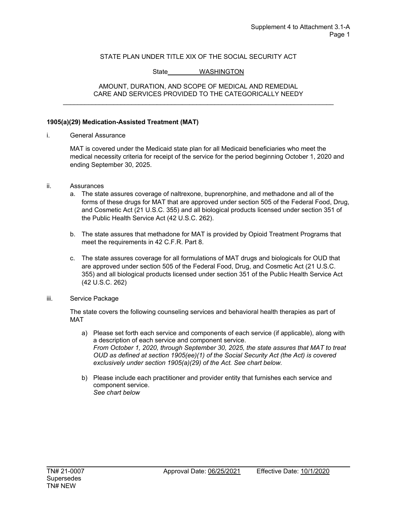### State WASHINGTON

#### AMOUNT, DURATION, AND SCOPE OF MEDICAL AND REMEDIAL CARE AND SERVICES PROVIDED TO THE CATEGORICALLY NEEDY \_\_\_\_\_\_\_\_\_\_\_\_\_\_\_\_\_\_\_\_\_\_\_\_\_\_\_\_\_\_\_\_\_\_\_\_\_\_\_\_\_\_\_\_\_\_\_\_\_\_\_\_\_\_\_\_\_\_\_\_\_\_\_\_\_\_\_\_\_\_\_\_\_\_\_

#### **1905(a)(29) Medication-Assisted Treatment (MAT)**

i. General Assurance

MAT is covered under the Medicaid state plan for all Medicaid beneficiaries who meet the medical necessity criteria for receipt of the service for the period beginning October 1, 2020 and ending September 30, 2025.

- ii. Assurances
	- a. The state assures coverage of naltrexone, buprenorphine, and methadone and all of the forms of these drugs for MAT that are approved under section 505 of the Federal Food, Drug, and Cosmetic Act (21 U.S.C. 355) and all biological products licensed under section 351 of the Public Health Service Act (42 U.S.C. 262).
	- b. The state assures that methadone for MAT is provided by Opioid Treatment Programs that meet the requirements in 42 C.F.R. Part 8.
	- c. The state assures coverage for all formulations of MAT drugs and biologicals for OUD that are approved under section 505 of the Federal Food, Drug, and Cosmetic Act (21 U.S.C. 355) and all biological products licensed under section 351 of the Public Health Service Act (42 U.S.C. 262)
- iii. Service Package

The state covers the following counseling services and behavioral health therapies as part of MAT

- a) Please set forth each service and components of each service (if applicable), along with a description of each service and component service. *From October 1, 2020, through September 30, 2025, the state assures that MAT to treat OUD as defined at section 1905(ee)(1) of the Social Security Act (the Act) is covered exclusively under section 1905(a)(29) of the Act. See chart below.*
- b) Please include each practitioner and provider entity that furnishes each service and component service. *See chart below*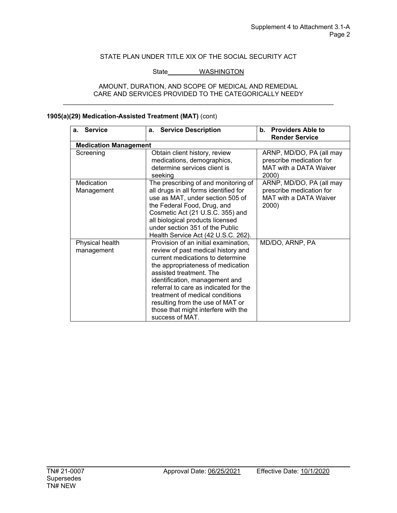### State\_\_\_\_\_\_\_\_\_\_ WASHINGTON

#### AMOUNT, DURATION, AND SCOPE OF MEDICAL AND REMEDIAL CARE AND SERVICES PROVIDED TO THE CATEGORICALLY NEEDY \_\_\_\_\_\_\_\_\_\_\_\_\_\_\_\_\_\_\_\_\_\_\_\_\_\_\_\_\_\_\_\_\_\_\_\_\_\_\_\_\_\_\_\_\_\_\_\_\_\_\_\_\_\_\_\_\_\_\_\_\_\_\_\_\_\_\_\_\_\_\_\_\_\_\_

| a. Service                    | a. Service Description                                                                                                                                                                                                                                                                                                                                                                     | <b>Providers Able to</b><br>b.<br><b>Render Service</b>                                        |
|-------------------------------|--------------------------------------------------------------------------------------------------------------------------------------------------------------------------------------------------------------------------------------------------------------------------------------------------------------------------------------------------------------------------------------------|------------------------------------------------------------------------------------------------|
| <b>Medication Management</b>  |                                                                                                                                                                                                                                                                                                                                                                                            |                                                                                                |
| Screening                     | Obtain client history, review<br>medications, demographics,<br>determine services client is<br>seeking                                                                                                                                                                                                                                                                                     | ARNP, MD/DO, PA (all may<br>prescribe medication for<br><b>MAT with a DATA Waiver</b><br>2000) |
| Medication<br>Management      | The prescribing of and monitoring of<br>all drugs in all forms identified for<br>use as MAT, under section 505 of<br>the Federal Food, Drug, and<br>Cosmetic Act (21 U.S.C. 355) and<br>all biological products licensed<br>under section 351 of the Public<br>Health Service Act (42 U.S.C. 262).                                                                                         | ARNP, MD/DO, PA (all may<br>prescribe medication for<br><b>MAT with a DATA Waiver</b><br>2000) |
| Physical health<br>management | Provision of an initial examination,<br>review of past medical history and<br>current medications to determine<br>the appropriateness of medication<br>assisted treatment. The<br>identification, management and<br>referral to care as indicated for the<br>treatment of medical conditions<br>resulting from the use of MAT or<br>those that might interfere with the<br>success of MAT. | MD/DO, ARNP, PA                                                                                |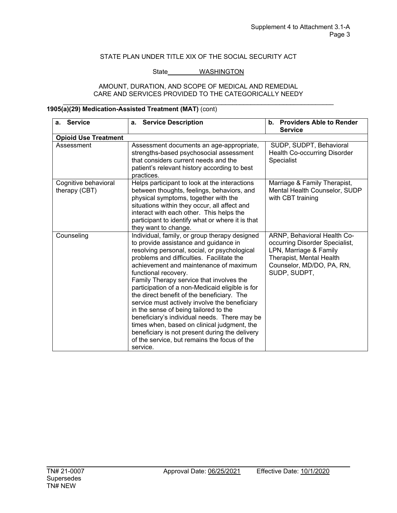#### State WASHINGTON

#### AMOUNT, DURATION, AND SCOPE OF MEDICAL AND REMEDIAL CARE AND SERVICES PROVIDED TO THE CATEGORICALLY NEEDY \_\_\_\_\_\_\_\_\_\_\_\_\_\_\_\_\_\_\_\_\_\_\_\_\_\_\_\_\_\_\_\_\_\_\_\_\_\_\_\_\_\_\_\_\_\_\_\_\_\_\_\_\_\_\_\_\_\_\_\_\_\_\_\_\_\_\_\_\_\_\_\_\_\_\_

| <b>Service</b><br>a.                  | <b>Service Description</b><br>а.                                                                                                                                                                                                                                                                                                                                                                                                                                                                                                                                                                                                                                                                          | <b>Providers Able to Render</b><br>b.<br><b>Service</b>                                                                                                          |
|---------------------------------------|-----------------------------------------------------------------------------------------------------------------------------------------------------------------------------------------------------------------------------------------------------------------------------------------------------------------------------------------------------------------------------------------------------------------------------------------------------------------------------------------------------------------------------------------------------------------------------------------------------------------------------------------------------------------------------------------------------------|------------------------------------------------------------------------------------------------------------------------------------------------------------------|
| <b>Opioid Use Treatment</b>           |                                                                                                                                                                                                                                                                                                                                                                                                                                                                                                                                                                                                                                                                                                           |                                                                                                                                                                  |
| Assessment                            | Assessment documents an age-appropriate,<br>strengths-based psychosocial assessment<br>that considers current needs and the<br>patient's relevant history according to best<br>practices.                                                                                                                                                                                                                                                                                                                                                                                                                                                                                                                 | SUDP, SUDPT, Behavioral<br><b>Health Co-occurring Disorder</b><br><b>Specialist</b>                                                                              |
| Cognitive behavioral<br>therapy (CBT) | Helps participant to look at the interactions<br>between thoughts, feelings, behaviors, and<br>physical symptoms, together with the<br>situations within they occur, all affect and<br>interact with each other. This helps the<br>participant to identify what or where it is that<br>they want to change.                                                                                                                                                                                                                                                                                                                                                                                               | Marriage & Family Therapist,<br>Mental Health Counselor, SUDP<br>with CBT training                                                                               |
| Counseling                            | Individual, family, or group therapy designed<br>to provide assistance and guidance in<br>resolving personal, social, or psychological<br>problems and difficulties. Facilitate the<br>achievement and maintenance of maximum<br>functional recovery.<br>Family Therapy service that involves the<br>participation of a non-Medicaid eligible is for<br>the direct benefit of the beneficiary. The<br>service must actively involve the beneficiary<br>in the sense of being tailored to the<br>beneficiary's individual needs. There may be<br>times when, based on clinical judgment, the<br>beneficiary is not present during the delivery<br>of the service, but remains the focus of the<br>service. | ARNP, Behavioral Health Co-<br>occurring Disorder Specialist,<br>LPN, Marriage & Family<br>Therapist, Mental Health<br>Counselor, MD/DO, PA, RN,<br>SUDP, SUDPT, |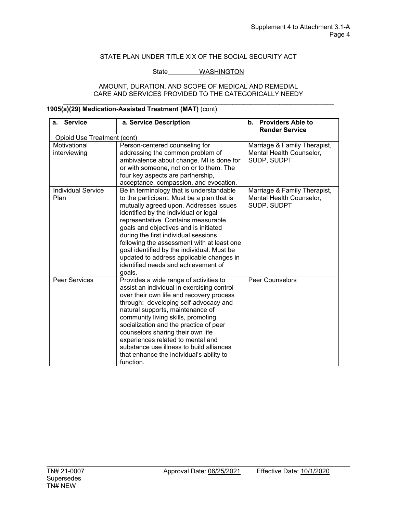#### State WASHINGTON

#### AMOUNT, DURATION, AND SCOPE OF MEDICAL AND REMEDIAL CARE AND SERVICES PROVIDED TO THE CATEGORICALLY NEEDY \_\_\_\_\_\_\_\_\_\_\_\_\_\_\_\_\_\_\_\_\_\_\_\_\_\_\_\_\_\_\_\_\_\_\_\_\_\_\_\_\_\_\_\_\_\_\_\_\_\_\_\_\_\_\_\_\_\_\_\_\_\_\_\_\_\_\_\_\_\_\_\_\_\_\_

| <b>Service</b><br>a.              | a. Service Description                                                                                                                                                                                                                                                                                                                                                                                                                                                                     | <b>Providers Able to</b><br>b.<br><b>Render Service</b>                 |
|-----------------------------------|--------------------------------------------------------------------------------------------------------------------------------------------------------------------------------------------------------------------------------------------------------------------------------------------------------------------------------------------------------------------------------------------------------------------------------------------------------------------------------------------|-------------------------------------------------------------------------|
| Opioid Use Treatment (cont)       |                                                                                                                                                                                                                                                                                                                                                                                                                                                                                            |                                                                         |
| Motivational<br>interviewing      | Person-centered counseling for<br>addressing the common problem of<br>ambivalence about change. MI is done for<br>or with someone, not on or to them. The<br>four key aspects are partnership,<br>acceptance, compassion, and evocation.                                                                                                                                                                                                                                                   | Marriage & Family Therapist,<br>Mental Health Counselor,<br>SUDP, SUDPT |
| <b>Individual Service</b><br>Plan | Be in terminology that is understandable<br>to the participant. Must be a plan that is<br>mutually agreed upon. Addresses issues<br>identified by the individual or legal<br>representative. Contains measurable<br>goals and objectives and is initiated<br>during the first individual sessions<br>following the assessment with at least one<br>goal identified by the individual. Must be<br>updated to address applicable changes in<br>identified needs and achievement of<br>goals. | Marriage & Family Therapist,<br>Mental Health Counselor,<br>SUDP, SUDPT |
| <b>Peer Services</b>              | Provides a wide range of activities to<br>assist an individual in exercising control<br>over their own life and recovery process<br>through: developing self-advocacy and<br>natural supports, maintenance of<br>community living skills, promoting<br>socialization and the practice of peer<br>counselors sharing their own life<br>experiences related to mental and<br>substance use illness to build alliances<br>that enhance the individual's ability to<br>function.               | <b>Peer Counselors</b>                                                  |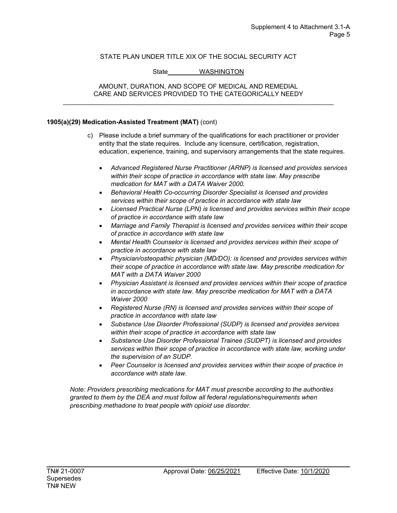## State WASHINGTON

#### AMOUNT, DURATION, AND SCOPE OF MEDICAL AND REMEDIAL CARE AND SERVICES PROVIDED TO THE CATEGORICALLY NEEDY \_\_\_\_\_\_\_\_\_\_\_\_\_\_\_\_\_\_\_\_\_\_\_\_\_\_\_\_\_\_\_\_\_\_\_\_\_\_\_\_\_\_\_\_\_\_\_\_\_\_\_\_\_\_\_\_\_\_\_\_\_\_\_\_\_\_\_\_\_\_\_\_\_\_\_

### **1905(a)(29) Medication-Assisted Treatment (MAT)** (cont)

- c) Please include a brief summary of the qualifications for each practitioner or provider entity that the state requires. Include any licensure, certification, registration, education, experience, training, and supervisory arrangements that the state requires.
	- *Advanced Registered Nurse Practitioner (ARNP) is licensed and provides services within their scope of practice in accordance with state law. May prescribe medication for MAT with a DATA Waiver 2000.*
	- *Behavioral Health Co-occurring Disorder Specialist is licensed and provides services within their scope of practice in accordance with state law*
	- *Licensed Practical Nurse (LPN) is licensed and provides services within their scope of practice in accordance with state law*
	- *Marriage and Family Therapist is licensed and provides services within their scope of practice in accordance with state law*
	- *Mental Health Counselor is licensed and provides services within their scope of practice in accordance with state law*
	- *Physician/osteopathic physician (MD/DO): is licensed and provides services within their scope of practice in accordance with state law. May prescribe medication for MAT with a DATA Waiver 2000*
	- *Physician Assistant is licensed and provides services within their scope of practice in accordance with state law. May prescribe medication for MAT with a DATA Waiver 2000*
	- *Registered Nurse (RN) is licensed and provides services within their scope of practice in accordance with state law*
	- *Substance Use Disorder Professional (SUDP) is licensed and provides services within their scope of practice in accordance with state law*
	- *Substance Use Disorder Professional Trainee (SUDPT) is licensed and provides services within their scope of practice in accordance with state law, working under the supervision of an SUDP.*
	- *Peer Counselor is licensed and provides services within their scope of practice in accordance with state law.*

*Note: Providers prescribing medications for MAT must prescribe according to the authorities granted to them by the DEA and must follow all federal regulations/requirements when prescribing methadone to treat people with opioid use disorder.*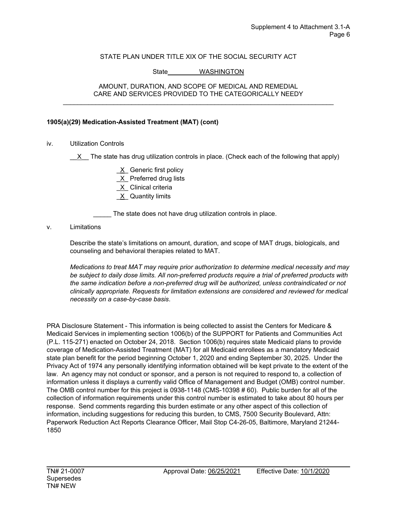### State WASHINGTON

#### AMOUNT, DURATION, AND SCOPE OF MEDICAL AND REMEDIAL CARE AND SERVICES PROVIDED TO THE CATEGORICALLY NEEDY \_\_\_\_\_\_\_\_\_\_\_\_\_\_\_\_\_\_\_\_\_\_\_\_\_\_\_\_\_\_\_\_\_\_\_\_\_\_\_\_\_\_\_\_\_\_\_\_\_\_\_\_\_\_\_\_\_\_\_\_\_\_\_\_\_\_\_\_\_\_\_\_\_\_\_

### **1905(a)(29) Medication-Assisted Treatment (MAT) (cont)**

iv. Utilization Controls

 $X$  The state has drug utilization controls in place. (Check each of the following that apply)

X Generic first policy X Preferred drug lists \_X\_ Clinical criteria \_X\_ Quantity limits

\_\_\_\_\_ The state does not have drug utilization controls in place.

#### v. Limitations

Describe the state's limitations on amount, duration, and scope of MAT drugs, biologicals, and counseling and behavioral therapies related to MAT.

*Medications to treat MAT may require prior authorization to determine medical necessity and may be subject to daily dose limits. All non-preferred products require a trial of preferred products with the same indication before a non-preferred drug will be authorized, unless contraindicated or not clinically appropriate. Requests for limitation extensions are considered and reviewed for medical necessity on a case-by-case basis*.

PRA Disclosure Statement - This information is being collected to assist the Centers for Medicare & Medicaid Services in implementing section 1006(b) of the SUPPORT for Patients and Communities Act (P.L. 115-271) enacted on October 24, 2018. Section 1006(b) requires state Medicaid plans to provide coverage of Medication-Assisted Treatment (MAT) for all Medicaid enrollees as a mandatory Medicaid state plan benefit for the period beginning October 1, 2020 and ending September 30, 2025. Under the Privacy Act of 1974 any personally identifying information obtained will be kept private to the extent of the law. An agency may not conduct or sponsor, and a person is not required to respond to, a collection of information unless it displays a currently valid Office of Management and Budget (OMB) control number. The OMB control number for this project is 0938-1148 (CMS-10398 # 60). Public burden for all of the collection of information requirements under this control number is estimated to take about 80 hours per response. Send comments regarding this burden estimate or any other aspect of this collection of information, including suggestions for reducing this burden, to CMS, 7500 Security Boulevard, Attn: Paperwork Reduction Act Reports Clearance Officer, Mail Stop C4-26-05, Baltimore, Maryland 21244- 1850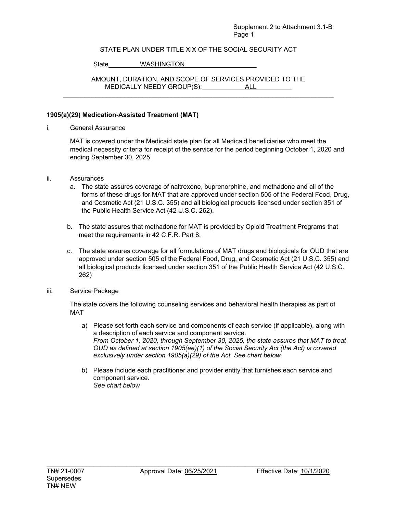### Supplement 2 to Attachment 3.1-B Page 1

## STATE PLAN UNDER TITLE XIX OF THE SOCIAL SECURITY ACT

State WASHINGTON

AMOUNT, DURATION, AND SCOPE OF SERVICES PROVIDED TO THE MEDICALLY NEEDY GROUP(S): ALL \_\_\_\_\_\_\_\_\_\_\_\_\_\_\_\_\_\_\_\_\_\_\_\_\_\_\_\_\_\_\_\_\_\_\_\_\_\_\_\_\_\_\_\_\_\_\_\_\_\_\_\_\_\_\_\_\_\_\_\_\_\_\_\_\_\_\_\_\_\_\_\_\_\_\_

### **1905(a)(29) Medication-Assisted Treatment (MAT)**

i. General Assurance

MAT is covered under the Medicaid state plan for all Medicaid beneficiaries who meet the medical necessity criteria for receipt of the service for the period beginning October 1, 2020 and ending September 30, 2025.

- ii. Assurances
	- a. The state assures coverage of naltrexone, buprenorphine, and methadone and all of the forms of these drugs for MAT that are approved under section 505 of the Federal Food, Drug, and Cosmetic Act (21 U.S.C. 355) and all biological products licensed under section 351 of the Public Health Service Act (42 U.S.C. 262).
	- b. The state assures that methadone for MAT is provided by Opioid Treatment Programs that meet the requirements in 42 C.F.R. Part 8.
	- c. The state assures coverage for all formulations of MAT drugs and biologicals for OUD that are approved under section 505 of the Federal Food, Drug, and Cosmetic Act (21 U.S.C. 355) and all biological products licensed under section 351 of the Public Health Service Act (42 U.S.C. 262)
- iii. Service Package

The state covers the following counseling services and behavioral health therapies as part of MAT

- a) Please set forth each service and components of each service (if applicable), along with a description of each service and component service. *From October 1, 2020, through September 30, 2025, the state assures that MAT to treat OUD as defined at section 1905(ee)(1) of the Social Security Act (the Act) is covered exclusively under section 1905(a)(29) of the Act. See chart below.*
- b) Please include each practitioner and provider entity that furnishes each service and component service. *See chart below*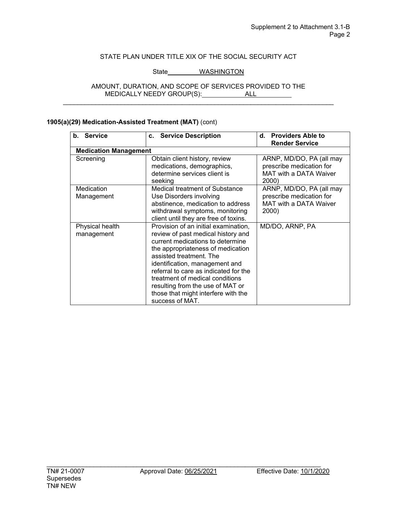## State WASHINGTON

#### AMOUNT, DURATION, AND SCOPE OF SERVICES PROVIDED TO THE MEDICALLY NEEDY GROUP(S): ALL \_\_\_\_\_\_\_\_\_\_\_\_\_\_\_\_\_\_\_\_\_\_\_\_\_\_\_\_\_\_\_\_\_\_\_\_\_\_\_\_\_\_\_\_\_\_\_\_\_\_\_\_\_\_\_\_\_\_\_\_\_\_\_\_\_\_\_\_\_\_\_\_\_\_\_

| b. Service                    | c. Service Description                                                                                                                                                                                                                                                                                                                                                                     | d. Providers Able to                                                                    |
|-------------------------------|--------------------------------------------------------------------------------------------------------------------------------------------------------------------------------------------------------------------------------------------------------------------------------------------------------------------------------------------------------------------------------------------|-----------------------------------------------------------------------------------------|
|                               |                                                                                                                                                                                                                                                                                                                                                                                            | <b>Render Service</b>                                                                   |
| <b>Medication Management</b>  |                                                                                                                                                                                                                                                                                                                                                                                            |                                                                                         |
| Screening                     | Obtain client history, review<br>medications, demographics,<br>determine services client is<br>seeking                                                                                                                                                                                                                                                                                     | ARNP, MD/DO, PA (all may<br>prescribe medication for<br>MAT with a DATA Waiver<br>2000) |
| Medication<br>Management      | Medical treatment of Substance<br>Use Disorders involving<br>abstinence, medication to address<br>withdrawal symptoms, monitoring<br>client until they are free of toxins.                                                                                                                                                                                                                 | ARNP, MD/DO, PA (all may<br>prescribe medication for<br>MAT with a DATA Waiver<br>2000) |
| Physical health<br>management | Provision of an initial examination,<br>review of past medical history and<br>current medications to determine<br>the appropriateness of medication<br>assisted treatment. The<br>identification, management and<br>referral to care as indicated for the<br>treatment of medical conditions<br>resulting from the use of MAT or<br>those that might interfere with the<br>success of MAT. | MD/DO, ARNP, PA                                                                         |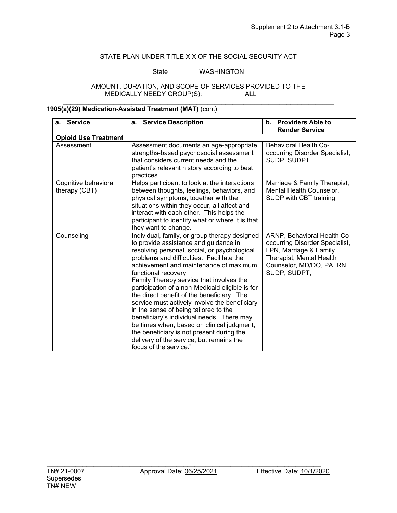### State WASHINGTON

#### AMOUNT, DURATION, AND SCOPE OF SERVICES PROVIDED TO THE MEDICALLY NEEDY GROUP(S): ALL \_\_\_\_\_\_\_\_\_\_\_\_\_\_\_\_\_\_\_\_\_\_\_\_\_\_\_\_\_\_\_\_\_\_\_\_\_\_\_\_\_\_\_\_\_\_\_\_\_\_\_\_\_\_\_\_\_\_\_\_\_\_\_\_\_\_\_\_\_\_\_\_\_\_\_

| <b>Service</b><br>a.                  | <b>Service Description</b><br>a.                                                                                                                                                                                                                                                                                                                                                                                                                                                                                                                                                                                                                                                                          | <b>Providers Able to</b><br>$\mathbf b$ .<br><b>Render Service</b>                                                                                               |
|---------------------------------------|-----------------------------------------------------------------------------------------------------------------------------------------------------------------------------------------------------------------------------------------------------------------------------------------------------------------------------------------------------------------------------------------------------------------------------------------------------------------------------------------------------------------------------------------------------------------------------------------------------------------------------------------------------------------------------------------------------------|------------------------------------------------------------------------------------------------------------------------------------------------------------------|
| <b>Opioid Use Treatment</b>           |                                                                                                                                                                                                                                                                                                                                                                                                                                                                                                                                                                                                                                                                                                           |                                                                                                                                                                  |
| Assessment                            | Assessment documents an age-appropriate,<br>strengths-based psychosocial assessment<br>that considers current needs and the<br>patient's relevant history according to best<br>practices.                                                                                                                                                                                                                                                                                                                                                                                                                                                                                                                 | <b>Behavioral Health Co-</b><br>occurring Disorder Specialist,<br>SUDP, SUDPT                                                                                    |
| Cognitive behavioral<br>therapy (CBT) | Helps participant to look at the interactions<br>between thoughts, feelings, behaviors, and<br>physical symptoms, together with the<br>situations within they occur, all affect and<br>interact with each other. This helps the<br>participant to identify what or where it is that<br>they want to change.                                                                                                                                                                                                                                                                                                                                                                                               | Marriage & Family Therapist,<br>Mental Health Counselor,<br>SUDP with CBT training                                                                               |
| Counseling                            | Individual, family, or group therapy designed<br>to provide assistance and guidance in<br>resolving personal, social, or psychological<br>problems and difficulties. Facilitate the<br>achievement and maintenance of maximum<br>functional recovery<br>Family Therapy service that involves the<br>participation of a non-Medicaid eligible is for<br>the direct benefit of the beneficiary. The<br>service must actively involve the beneficiary<br>in the sense of being tailored to the<br>beneficiary's individual needs. There may<br>be times when, based on clinical judgment,<br>the beneficiary is not present during the<br>delivery of the service, but remains the<br>focus of the service." | ARNP, Behavioral Health Co-<br>occurring Disorder Specialist,<br>LPN, Marriage & Family<br>Therapist, Mental Health<br>Counselor, MD/DO, PA, RN,<br>SUDP, SUDPT, |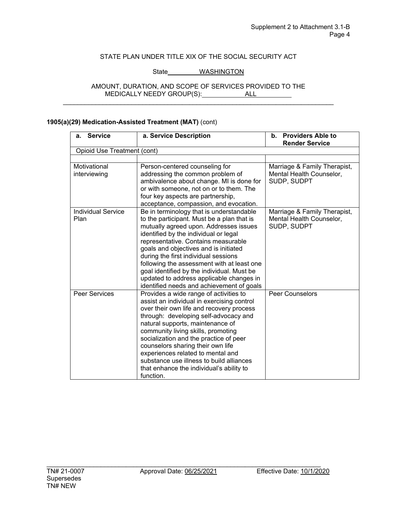## State WASHINGTON

#### AMOUNT, DURATION, AND SCOPE OF SERVICES PROVIDED TO THE MEDICALLY NEEDY GROUP(S): ALL \_\_\_\_\_\_\_\_\_\_\_\_\_\_\_\_\_\_\_\_\_\_\_\_\_\_\_\_\_\_\_\_\_\_\_\_\_\_\_\_\_\_\_\_\_\_\_\_\_\_\_\_\_\_\_\_\_\_\_\_\_\_\_\_\_\_\_\_\_\_\_\_\_\_\_

| <b>Service</b><br>а.              | a. Service Description                                                                                                                                                                                                                                                                                                                                                                                                                                                                 | b. Providers Able to<br><b>Render Service</b>                           |
|-----------------------------------|----------------------------------------------------------------------------------------------------------------------------------------------------------------------------------------------------------------------------------------------------------------------------------------------------------------------------------------------------------------------------------------------------------------------------------------------------------------------------------------|-------------------------------------------------------------------------|
| Opioid Use Treatment (cont)       |                                                                                                                                                                                                                                                                                                                                                                                                                                                                                        |                                                                         |
|                                   |                                                                                                                                                                                                                                                                                                                                                                                                                                                                                        |                                                                         |
| Motivational<br>interviewing      | Person-centered counseling for<br>addressing the common problem of<br>ambivalence about change. MI is done for<br>or with someone, not on or to them. The<br>four key aspects are partnership,<br>acceptance, compassion, and evocation.                                                                                                                                                                                                                                               | Marriage & Family Therapist,<br>Mental Health Counselor,<br>SUDP, SUDPT |
| <b>Individual Service</b><br>Plan | Be in terminology that is understandable<br>to the participant. Must be a plan that is<br>mutually agreed upon. Addresses issues<br>identified by the individual or legal<br>representative. Contains measurable<br>goals and objectives and is initiated<br>during the first individual sessions<br>following the assessment with at least one<br>goal identified by the individual. Must be<br>updated to address applicable changes in<br>identified needs and achievement of goals | Marriage & Family Therapist,<br>Mental Health Counselor,<br>SUDP, SUDPT |
| Peer Services                     | Provides a wide range of activities to<br>assist an individual in exercising control<br>over their own life and recovery process<br>through: developing self-advocacy and<br>natural supports, maintenance of<br>community living skills, promoting<br>socialization and the practice of peer<br>counselors sharing their own life<br>experiences related to mental and<br>substance use illness to build alliances<br>that enhance the individual's ability to<br>function.           | <b>Peer Counselors</b>                                                  |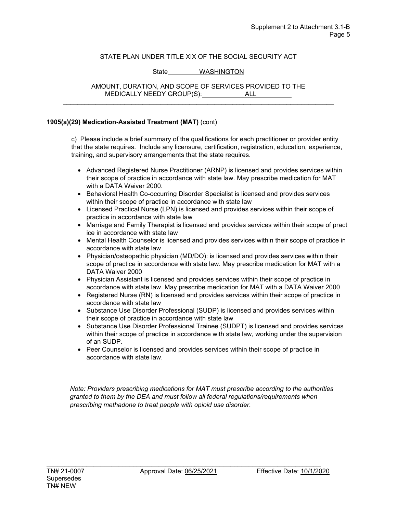## State WASHINGTON

AMOUNT, DURATION, AND SCOPE OF SERVICES PROVIDED TO THE MEDICALLY NEEDY GROUP(S): ALL \_\_\_\_\_\_\_\_\_\_\_\_\_\_\_\_\_\_\_\_\_\_\_\_\_\_\_\_\_\_\_\_\_\_\_\_\_\_\_\_\_\_\_\_\_\_\_\_\_\_\_\_\_\_\_\_\_\_\_\_\_\_\_\_\_\_\_\_\_\_\_\_\_\_\_

#### **1905(a)(29) Medication-Assisted Treatment (MAT)** (cont)

c) Please include a brief summary of the qualifications for each practitioner or provider entity that the state requires. Include any licensure, certification, registration, education, experience, training, and supervisory arrangements that the state requires.

- Advanced Registered Nurse Practitioner (ARNP) is licensed and provides services within their scope of practice in accordance with state law. May prescribe medication for MAT with a DATA Waiver 2000.
- Behavioral Health Co-occurring Disorder Specialist is licensed and provides services within their scope of practice in accordance with state law
- Licensed Practical Nurse (LPN) is licensed and provides services within their scope of practice in accordance with state law
- Marriage and Family Therapist is licensed and provides services within their scope of pract ice in accordance with state law
- Mental Health Counselor is licensed and provides services within their scope of practice in accordance with state law
- Physician/osteopathic physician (MD/DO): is licensed and provides services within their scope of practice in accordance with state law. May prescribe medication for MAT with a DATA Waiver 2000
- Physician Assistant is licensed and provides services within their scope of practice in accordance with state law. May prescribe medication for MAT with a DATA Waiver 2000
- Registered Nurse (RN) is licensed and provides services within their scope of practice in accordance with state law
- Substance Use Disorder Professional (SUDP) is licensed and provides services within their scope of practice in accordance with state law
- Substance Use Disorder Professional Trainee (SUDPT) is licensed and provides services within their scope of practice in accordance with state law, working under the supervision of an SUDP.
- Peer Counselor is licensed and provides services within their scope of practice in accordance with state law.

*Note: Providers prescribing medications for MAT must prescribe according to the authorities granted to them by the DEA and must follow all federal regulations/requirements when prescribing methadone to treat people with opioid use disorder.*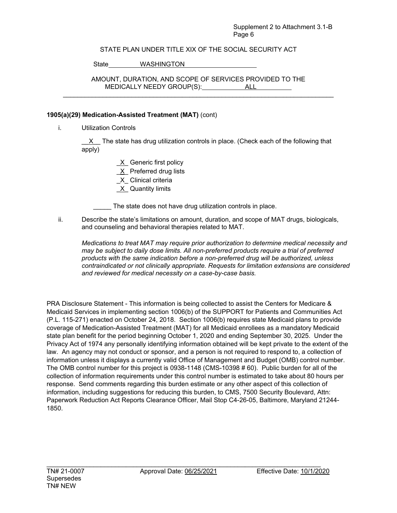### Supplement 2 to Attachment 3.1-B Page 6

## STATE PLAN UNDER TITLE XIX OF THE SOCIAL SECURITY ACT

State WASHINGTON

AMOUNT, DURATION, AND SCOPE OF SERVICES PROVIDED TO THE MEDICALLY NEEDY GROUP(S): ALL \_\_\_\_\_\_\_\_\_\_\_\_\_\_\_\_\_\_\_\_\_\_\_\_\_\_\_\_\_\_\_\_\_\_\_\_\_\_\_\_\_\_\_\_\_\_\_\_\_\_\_\_\_\_\_\_\_\_\_\_\_\_\_\_\_\_\_\_\_\_\_\_\_\_\_

### **1905(a)(29) Medication-Assisted Treatment (MAT)** (cont)

i. Utilization Controls

X The state has drug utilization controls in place. (Check each of the following that apply)

> X Generic first policy X Preferred drug lists

\_X\_ Clinical criteria

 $X$  Quantity limits

The state does not have drug utilization controls in place.

ii. Describe the state's limitations on amount, duration, and scope of MAT drugs, biologicals, and counseling and behavioral therapies related to MAT.

*Medications to treat MAT may require prior authorization to determine medical necessity and may be subject to daily dose limits. All non-preferred products require a trial of preferred products with the same indication before a non-preferred drug will be authorized, unless contraindicated or not clinically appropriate. Requests for limitation extensions are considered and reviewed for medical necessity on a case-by-case basis.*

PRA Disclosure Statement - This information is being collected to assist the Centers for Medicare & Medicaid Services in implementing section 1006(b) of the SUPPORT for Patients and Communities Act (P.L. 115-271) enacted on October 24, 2018. Section 1006(b) requires state Medicaid plans to provide coverage of Medication-Assisted Treatment (MAT) for all Medicaid enrollees as a mandatory Medicaid state plan benefit for the period beginning October 1, 2020 and ending September 30, 2025. Under the Privacy Act of 1974 any personally identifying information obtained will be kept private to the extent of the law. An agency may not conduct or sponsor, and a person is not required to respond to, a collection of information unless it displays a currently valid Office of Management and Budget (OMB) control number. The OMB control number for this project is 0938-1148 (CMS-10398 # 60). Public burden for all of the collection of information requirements under this control number is estimated to take about 80 hours per response. Send comments regarding this burden estimate or any other aspect of this collection of information, including suggestions for reducing this burden, to CMS, 7500 Security Boulevard, Attn: Paperwork Reduction Act Reports Clearance Officer, Mail Stop C4-26-05, Baltimore, Maryland 21244- 1850.